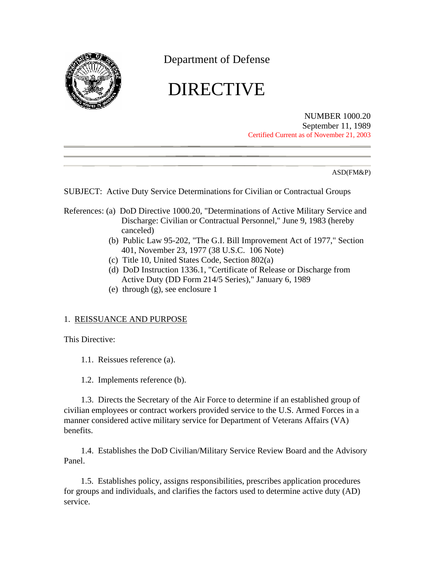<span id="page-0-0"></span>

Department of Defense

# DIRECTIVE

NUMBER 1000.20 September 11, 1989 Certified Current as of November 21, 2003

ASD(FM&P)

SUBJECT: Active Duty Service Determinations for Civilian or Contractual Groups

- References: (a) DoD Directive 1000.20, "Determinations of Active Military Service and Discharge: Civilian or Contractual Personnel," June 9, 1983 (hereby canceled)
	- (b) Public Law 95-202, "The G.I. Bill Improvement Act of 1977," Section 401, November 23, 1977 (38 U.S.C. 106 Note)
	- (c) Title 10, United States Code, Section 802(a)
	- (d) DoD Instruction 1336.1, "Certificate of Release or Discharge from Active Duty (DD Form 214/5 Series)," January 6, 1989
	- (e) through (g), see [enclosure 1](#page-9-0)

#### 1. REISSUANCE AND PURPOSE

This Directive:

- 1.1. Reissues [reference \(a\).](#page-0-0)
- 1.2. Implements [reference \(b\).](#page-0-0)

1.3. Directs the Secretary of the Air Force to determine if an established group of civilian employees or contract workers provided service to the U.S. Armed Forces in a manner considered active military service for Department of Veterans Affairs (VA) benefits.

1.4. Establishes the DoD Civilian/Military Service Review Board and the Advisory Panel.

1.5. Establishes policy, assigns responsibilities, prescribes application procedures for groups and individuals, and clarifies the factors used to determine active duty (AD) service.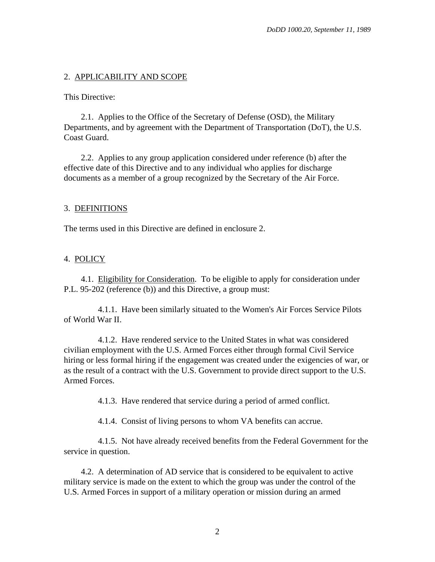## <span id="page-1-0"></span>2. APPLICABILITY AND SCOPE

This Directive:

2.1. Applies to the Office of the Secretary of Defense (OSD), the Military Departments, and by agreement with the Department of Transportation (DoT), the U.S. Coast Guard.

2.2. Applies to any group application considered under [reference \(b\)](#page-0-0) after the effective date of this Directive and to any individual who applies for discharge documents as a member of a group recognized by the Secretary of the Air Force.

#### 3. DEFINITIONS

The terms used in this Directive are defined in [enclosure 2.](#page-10-0)

#### 4. POLICY

4.1. Eligibility for Consideration. To be eligible to apply for consideration under P.L. 95-202 [\(reference \(b\)\)](#page-0-0) and this Directive, a group must:

4.1.1. Have been similarly situated to the Women's Air Forces Service Pilots of World War II.

4.1.2. Have rendered service to the United States in what was considered civilian employment with the U.S. Armed Forces either through formal Civil Service hiring or less formal hiring if the engagement was created under the exigencies of war, or as the result of a contract with the U.S. Government to provide direct support to the U.S. Armed Forces.

4.1.3. Have rendered that service during a period of armed conflict.

4.1.4. Consist of living persons to whom VA benefits can accrue.

4.1.5. Not have already received benefits from the Federal Government for the service in question.

4.2. A determination of AD service that is considered to be equivalent to active military service is made on the extent to which the group was under the control of the U.S. Armed Forces in support of a military operation or mission during an armed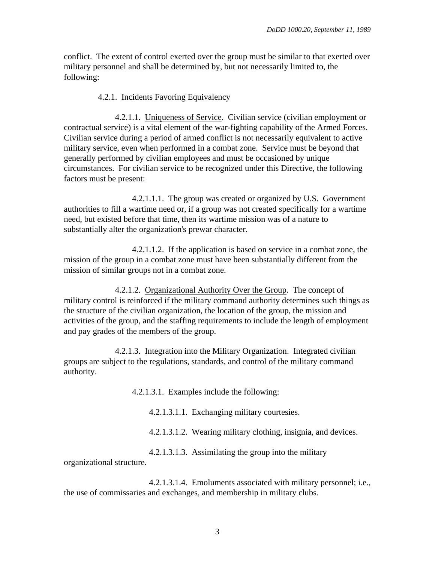conflict. The extent of control exerted over the group must be similar to that exerted over military personnel and shall be determined by, but not necessarily limited to, the following:

4.2.1. Incidents Favoring Equivalency

4.2.1.1. Uniqueness of Service. Civilian service (civilian employment or contractual service) is a vital element of the war-fighting capability of the Armed Forces. Civilian service during a period of armed conflict is not necessarily equivalent to active military service, even when performed in a combat zone. Service must be beyond that generally performed by civilian employees and must be occasioned by unique circumstances. For civilian service to be recognized under this Directive, the following factors must be present:

4.2.1.1.1. The group was created or organized by U.S. Government authorities to fill a wartime need or, if a group was not created specifically for a wartime need, but existed before that time, then its wartime mission was of a nature to substantially alter the organization's prewar character.

4.2.1.1.2. If the application is based on service in a combat zone, the mission of the group in a combat zone must have been substantially different from the mission of similar groups not in a combat zone.

4.2.1.2. Organizational Authority Over the Group. The concept of military control is reinforced if the military command authority determines such things as the structure of the civilian organization, the location of the group, the mission and activities of the group, and the staffing requirements to include the length of employment and pay grades of the members of the group.

4.2.1.3. Integration into the Military Organization. Integrated civilian groups are subject to the regulations, standards, and control of the military command authority.

4.2.1.3.1. Examples include the following:

4.2.1.3.1.1. Exchanging military courtesies.

4.2.1.3.1.2. Wearing military clothing, insignia, and devices.

4.2.1.3.1.3. Assimilating the group into the military

organizational structure.

4.2.1.3.1.4. Emoluments associated with military personnel; i.e., the use of commissaries and exchanges, and membership in military clubs.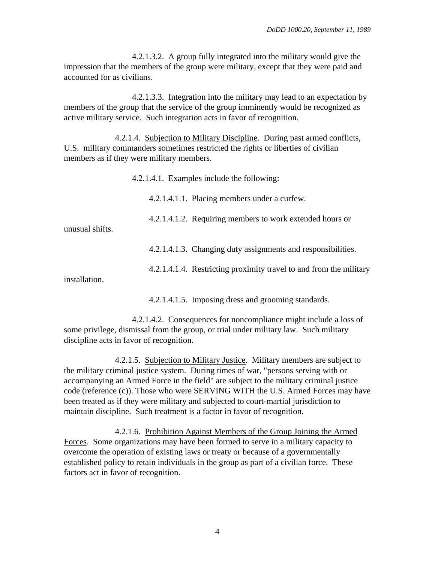4.2.1.3.2. A group fully integrated into the military would give the impression that the members of the group were military, except that they were paid and accounted for as civilians.

4.2.1.3.3. Integration into the military may lead to an expectation by members of the group that the service of the group imminently would be recognized as active military service. Such integration acts in favor of recognition.

4.2.1.4. Subjection to Military Discipline. During past armed conflicts, U.S. military commanders sometimes restricted the rights or liberties of civilian members as if they were military members.

4.2.1.4.1. Examples include the following:

4.2.1.4.1.1. Placing members under a curfew.

4.2.1.4.1.2. Requiring members to work extended hours or

unusual shifts.

4.2.1.4.1.3. Changing duty assignments and responsibilities.

4.2.1.4.1.4. Restricting proximity travel to and from the military

installation.

4.2.1.4.1.5. Imposing dress and grooming standards.

4.2.1.4.2. Consequences for noncompliance might include a loss of some privilege, dismissal from the group, or trial under military law. Such military discipline acts in favor of recognition.

4.2.1.5. Subjection to Military Justice. Military members are subject to the military criminal justice system. During times of war, "persons serving with or accompanying an Armed Force in the field" are subject to the military criminal justice code [\(reference \(c\)\).](#page-0-0) Those who were SERVING WITH the U.S. Armed Forces may have been treated as if they were military and subjected to court-martial jurisdiction to maintain discipline. Such treatment is a factor in favor of recognition.

4.2.1.6. Prohibition Against Members of the Group Joining the Armed Forces. Some organizations may have been formed to serve in a military capacity to overcome the operation of existing laws or treaty or because of a governmentally established policy to retain individuals in the group as part of a civilian force. These factors act in favor of recognition.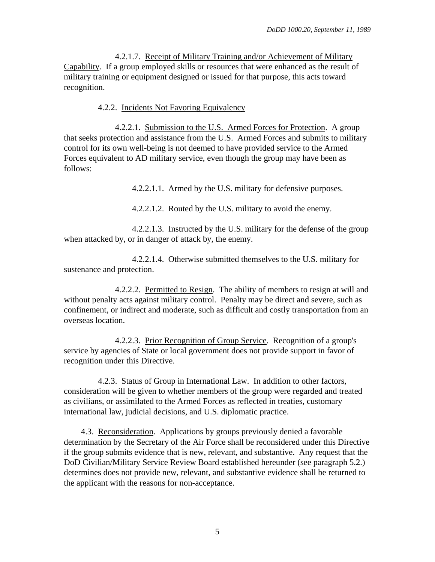4.2.1.7. Receipt of Military Training and/or Achievement of Military Capability. If a group employed skills or resources that were enhanced as the result of military training or equipment designed or issued for that purpose, this acts toward recognition.

#### 4.2.2. Incidents Not Favoring Equivalency

4.2.2.1. Submission to the U.S. Armed Forces for Protection. A group that seeks protection and assistance from the U.S. Armed Forces and submits to military control for its own well-being is not deemed to have provided service to the Armed Forces equivalent to AD military service, even though the group may have been as follows:

4.2.2.1.1. Armed by the U.S. military for defensive purposes.

4.2.2.1.2. Routed by the U.S. military to avoid the enemy.

4.2.2.1.3. Instructed by the U.S. military for the defense of the group when attacked by, or in danger of attack by, the enemy.

4.2.2.1.4. Otherwise submitted themselves to the U.S. military for sustenance and protection.

4.2.2.2. Permitted to Resign. The ability of members to resign at will and without penalty acts against military control. Penalty may be direct and severe, such as confinement, or indirect and moderate, such as difficult and costly transportation from an overseas location.

4.2.2.3. Prior Recognition of Group Service. Recognition of a group's service by agencies of State or local government does not provide support in favor of recognition under this Directive.

4.2.3. Status of Group in International Law. In addition to other factors, consideration will be given to whether members of the group were regarded and treated as civilians, or assimilated to the Armed Forces as reflected in treaties, customary international law, judicial decisions, and U.S. diplomatic practice.

4.3. Reconsideration. Applications by groups previously denied a favorable determination by the Secretary of the Air Force shall be reconsidered under this Directive if the group submits evidence that is new, relevant, and substantive. Any request that the DoD Civilian/Military Service Review Board established hereunder (see paragraph [5.2.\)](#page-5-0) determines does not provide new, relevant, and substantive evidence shall be returned to the applicant with the reasons for non-acceptance.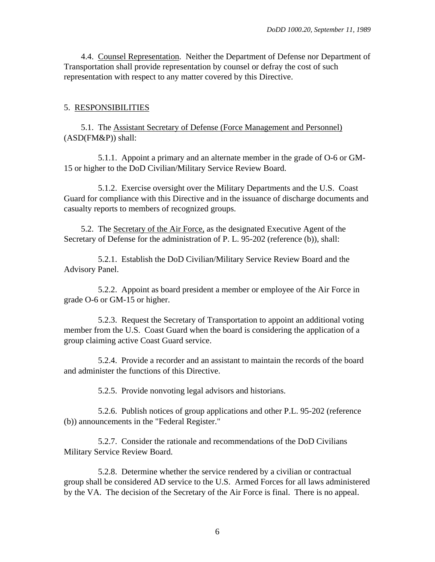<span id="page-5-0"></span>4.4. Counsel Representation. Neither the Department of Defense nor Department of Transportation shall provide representation by counsel or defray the cost of such representation with respect to any matter covered by this Directive.

#### 5. RESPONSIBILITIES

5.1. The Assistant Secretary of Defense (Force Management and Personnel) (ASD(FM&P)) shall:

5.1.1. Appoint a primary and an alternate member in the grade of O-6 or GM-15 or higher to the DoD Civilian/Military Service Review Board.

5.1.2. Exercise oversight over the Military Departments and the U.S. Coast Guard for compliance with this Directive and in the issuance of discharge documents and casualty reports to members of recognized groups.

5.2. The Secretary of the Air Force, as the designated Executive Agent of the Secretary of Defense for the administration of P. L. 95-202 [\(reference \(b\)\),](#page-0-0) shall:

5.2.1. Establish the DoD Civilian/Military Service Review Board and the Advisory Panel.

5.2.2. Appoint as board president a member or employee of the Air Force in grade O-6 or GM-15 or higher.

5.2.3. Request the Secretary of Transportation to appoint an additional voting member from the U.S. Coast Guard when the board is considering the application of a group claiming active Coast Guard service.

5.2.4. Provide a recorder and an assistant to maintain the records of the board and administer the functions of this Directive.

5.2.5. Provide nonvoting legal advisors and historians.

5.2.6. Publish notices of group applications and other P.L. 95-202 [\(reference](#page-0-0)  [\(b\)\)](#page-0-0) announcements in the "Federal Register."

5.2.7. Consider the rationale and recommendations of the DoD Civilians Military Service Review Board.

5.2.8. Determine whether the service rendered by a civilian or contractual group shall be considered AD service to the U.S. Armed Forces for all laws administered by the VA. The decision of the Secretary of the Air Force is final. There is no appeal.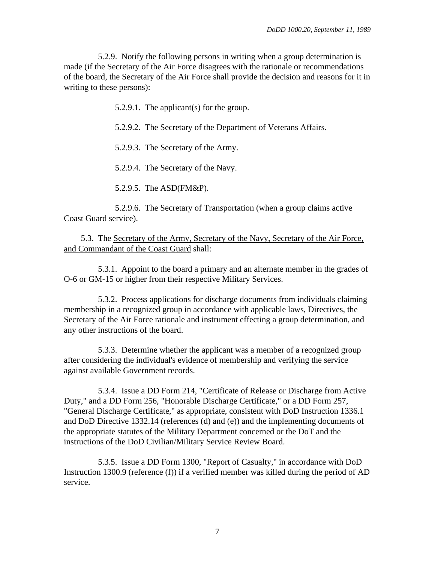5.2.9. Notify the following persons in writing when a group determination is made (if the Secretary of the Air Force disagrees with the rationale or recommendations of the board, the Secretary of the Air Force shall provide the decision and reasons for it in writing to these persons):

5.2.9.1. The applicant(s) for the group.

5.2.9.2. The Secretary of the Department of Veterans Affairs.

5.2.9.3. The Secretary of the Army.

5.2.9.4. The Secretary of the Navy.

5.2.9.5. The ASD(FM&P).

5.2.9.6. The Secretary of Transportation (when a group claims active Coast Guard service).

5.3. The Secretary of the Army, Secretary of the Navy, Secretary of the Air Force, and Commandant of the Coast Guard shall:

5.3.1. Appoint to the board a primary and an alternate member in the grades of O-6 or GM-15 or higher from their respective Military Services.

5.3.2. Process applications for discharge documents from individuals claiming membership in a recognized group in accordance with applicable laws, Directives, the Secretary of the Air Force rationale and instrument effecting a group determination, and any other instructions of the board.

5.3.3. Determine whether the applicant was a member of a recognized group after considering the individual's evidence of membership and verifying the service against available Government records.

5.3.4. Issue a DD Form 214, "Certificate of Release or Discharge from Active Duty," and a DD Form 256, "Honorable Discharge Certificate," or a DD Form 257, "General Discharge Certificate," as appropriate, consistent with DoD Instruction 1336.1 and DoD Directive 1332.14 [\(references \(d\)](#page-0-0) and [\(e\)\)](#page-9-0) and the implementing documents of the appropriate statutes of the Military Department concerned or the DoT and the instructions of the DoD Civilian/Military Service Review Board.

5.3.5. Issue a DD Form 1300, "Report of Casualty," in accordance with DoD Instruction 1300.9 [\(reference \(f\)\)](#page-9-0) if a verified member was killed during the period of AD service.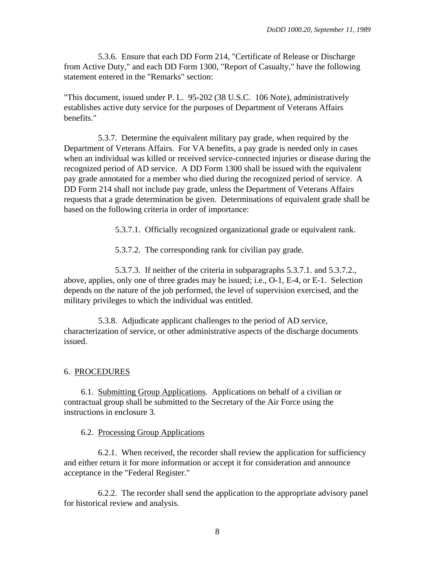<span id="page-7-0"></span>5.3.6. Ensure that each DD Form 214, "Certificate of Release or Discharge from Active Duty," and each DD Form 1300, "Report of Casualty," have the following statement entered in the "Remarks" section:

"This document, issued under P. L. 95-202 (38 U.S.C. 106 Note), administratively establishes active duty service for the purposes of Department of Veterans Affairs benefits."

5.3.7. Determine the equivalent military pay grade, when required by the Department of Veterans Affairs. For VA benefits, a pay grade is needed only in cases when an individual was killed or received service-connected injuries or disease during the recognized period of AD service. A DD Form 1300 shall be issued with the equivalent pay grade annotated for a member who died during the recognized period of service. A DD Form 214 shall not include pay grade, unless the Department of Veterans Affairs requests that a grade determination be given. Determinations of equivalent grade shall be based on the following criteria in order of importance:

5.3.7.1. Officially recognized organizational grade or equivalent rank.

5.3.7.2. The corresponding rank for civilian pay grade.

5.3.7.3. If neither of the criteria in subparagraphs [5.3.7.1.](#page-7-0) and [5.3.7.2.,](#page-7-0) above, applies, only one of three grades may be issued; i.e., O-1, E-4, or E-1. Selection depends on the nature of the job performed, the level of supervision exercised, and the military privileges to which the individual was entitled.

5.3.8. Adjudicate applicant challenges to the period of AD service, characterization of service, or other administrative aspects of the discharge documents issued.

#### 6. PROCEDURES

6.1. Submitting Group Applications. Applications on behalf of a civilian or contractual group shall be submitted to the Secretary of the Air Force using the instructions in [enclosure 3.](#page-11-0)

#### 6.2. Processing Group Applications

6.2.1. When received, the recorder shall review the application for sufficiency and either return it for more information or accept it for consideration and announce acceptance in the "Federal Register."

6.2.2. The recorder shall send the application to the appropriate advisory panel for historical review and analysis.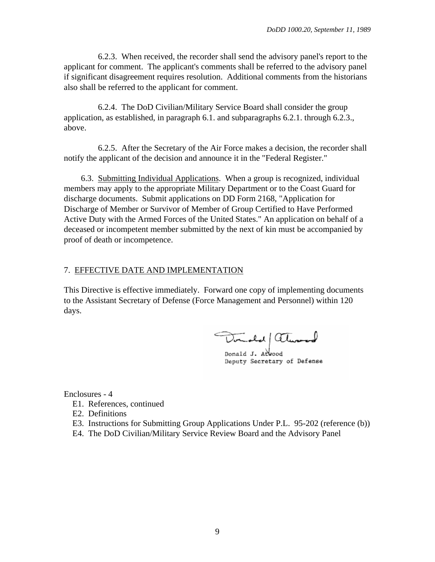<span id="page-8-0"></span>6.2.3. When received, the recorder shall send the advisory panel's report to the applicant for comment. The applicant's comments shall be referred to the advisory panel if significant disagreement requires resolution. Additional comments from the historians also shall be referred to the applicant for comment.

6.2.4. The DoD Civilian/Military Service Board shall consider the group application, as established, in paragraph [6.1.](#page-7-0) and subparagraphs [6.2.1.](#page-7-0) through [6.2.3.,](#page-8-0) above.

6.2.5. After the Secretary of the Air Force makes a decision, the recorder shall notify the applicant of the decision and announce it in the "Federal Register."

6.3. Submitting Individual Applications. When a group is recognized, individual members may apply to the appropriate Military Department or to the Coast Guard for discharge documents. Submit applications on DD Form 2168, "Application for Discharge of Member or Survivor of Member of Group Certified to Have Performed Active Duty with the Armed Forces of the United States." An application on behalf of a deceased or incompetent member submitted by the next of kin must be accompanied by proof of death or incompetence.

## 7. EFFECTIVE DATE AND IMPLEMENTATION

This Directive is effective immediately. Forward one copy of implementing documents to the Assistant Secretary of Defense (Force Management and Personnel) within 120 days.

Donald always

Donald J. Atwood Deputy Secretary of Defense

Enclosures - 4

- E1. [References, continued](#page-9-0)
- E2. [Definitions](#page-10-0)
- E3. [Instructions for Submitting Group Applications Under P.L. 95-202 \(reference \(b\)\)](#page-11-0)
- E4. [The DoD Civilian/Military Service Review Board and the Advisory Panel](#page-12-0)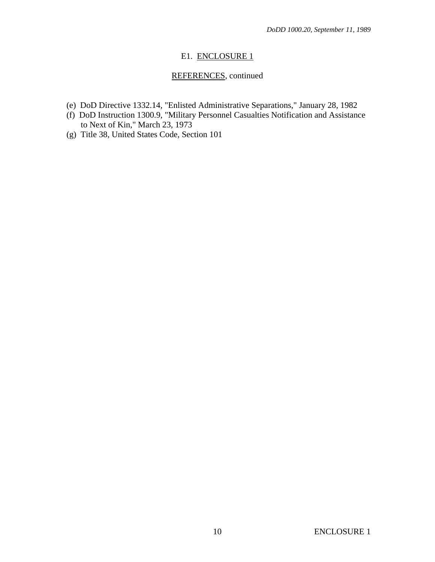# E1. ENCLOSURE 1

# REFERENCES, continued

- <span id="page-9-0"></span>(e) DoD Directive 1332.14, "Enlisted Administrative Separations," January 28, 1982
- (f) DoD Instruction 1300.9, "Military Personnel Casualties Notification and Assistance to Next of Kin," March 23, 1973
- (g) Title 38, United States Code, Section 101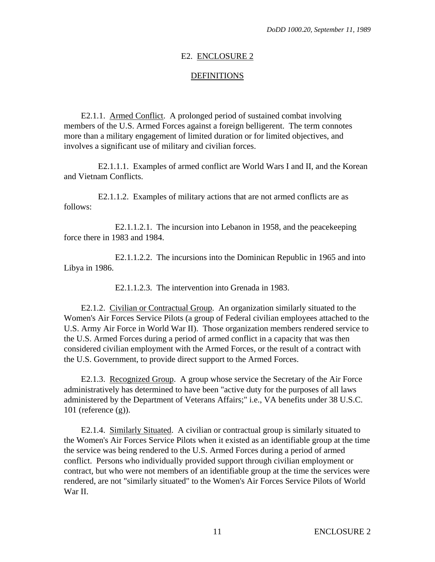#### E2. ENCLOSURE 2

#### **DEFINITIONS**

<span id="page-10-0"></span>E2.1.1. Armed Conflict. A prolonged period of sustained combat involving members of the U.S. Armed Forces against a foreign belligerent. The term connotes more than a military engagement of limited duration or for limited objectives, and involves a significant use of military and civilian forces.

E2.1.1.1. Examples of armed conflict are World Wars I and II, and the Korean and Vietnam Conflicts.

E2.1.1.2. Examples of military actions that are not armed conflicts are as follows:

E2.1.1.2.1. The incursion into Lebanon in 1958, and the peacekeeping force there in 1983 and 1984.

E2.1.1.2.2. The incursions into the Dominican Republic in 1965 and into Libya in 1986.

E2.1.1.2.3. The intervention into Grenada in 1983.

E2.1.2. Civilian or Contractual Group. An organization similarly situated to the Women's Air Forces Service Pilots (a group of Federal civilian employees attached to the U.S. Army Air Force in World War II). Those organization members rendered service to the U.S. Armed Forces during a period of armed conflict in a capacity that was then considered civilian employment with the Armed Forces, or the result of a contract with the U.S. Government, to provide direct support to the Armed Forces.

E2.1.3. Recognized Group. A group whose service the Secretary of the Air Force administratively has determined to have been "active duty for the purposes of all laws administered by the Department of Veterans Affairs;" i.e., VA benefits under 38 U.S.C. 101 [\(reference \(g\)\).](#page-9-0)

E2.1.4. Similarly Situated. A civilian or contractual group is similarly situated to the Women's Air Forces Service Pilots when it existed as an identifiable group at the time the service was being rendered to the U.S. Armed Forces during a period of armed conflict. Persons who individually provided support through civilian employment or contract, but who were not members of an identifiable group at the time the services were rendered, are not "similarly situated" to the Women's Air Forces Service Pilots of World War II.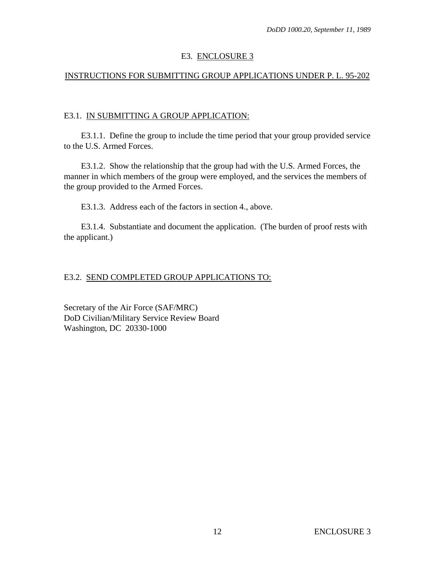## E3. ENCLOSURE 3

# <span id="page-11-0"></span>INSTRUCTIONS FOR SUBMITTING GROUP APPLICATIONS UNDER P. L. 95-202

### E3.1. IN SUBMITTING A GROUP APPLICATION:

E3.1.1. Define the group to include the time period that your group provided service to the U.S. Armed Forces.

E3.1.2. Show the relationship that the group had with the U.S. Armed Forces, the manner in which members of the group were employed, and the services the members of the group provided to the Armed Forces.

E3.1.3. Address each of the factors in section [4.,](#page-1-0) above.

E3.1.4. Substantiate and document the application. (The burden of proof rests with the applicant.)

# E3.2. SEND COMPLETED GROUP APPLICATIONS TO:

Secretary of the Air Force (SAF/MRC) DoD Civilian/Military Service Review Board Washington, DC 20330-1000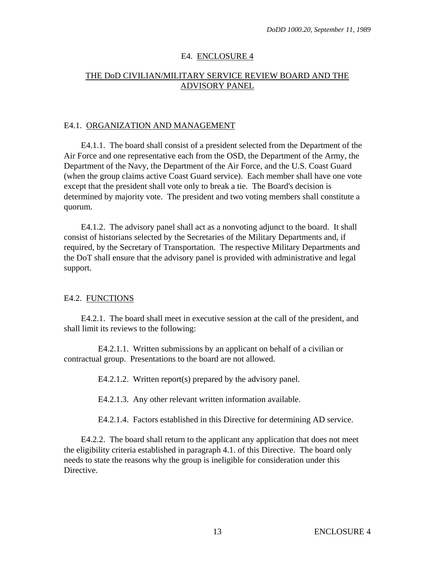## E4. ENCLOSURE 4

# <span id="page-12-0"></span>THE DoD CIVILIAN/MILITARY SERVICE REVIEW BOARD AND THE ADVISORY PANEL

#### E4.1. ORGANIZATION AND MANAGEMENT

E4.1.1. The board shall consist of a president selected from the Department of the Air Force and one representative each from the OSD, the Department of the Army, the Department of the Navy, the Department of the Air Force, and the U.S. Coast Guard (when the group claims active Coast Guard service). Each member shall have one vote except that the president shall vote only to break a tie. The Board's decision is determined by majority vote. The president and two voting members shall constitute a quorum.

E4.1.2. The advisory panel shall act as a nonvoting adjunct to the board. It shall consist of historians selected by the Secretaries of the Military Departments and, if required, by the Secretary of Transportation. The respective Military Departments and the DoT shall ensure that the advisory panel is provided with administrative and legal support.

#### E4.2. FUNCTIONS

E4.2.1. The board shall meet in executive session at the call of the president, and shall limit its reviews to the following:

E4.2.1.1. Written submissions by an applicant on behalf of a civilian or contractual group. Presentations to the board are not allowed.

E4.2.1.2. Written report(s) prepared by the advisory panel.

E4.2.1.3. Any other relevant written information available.

E4.2.1.4. Factors established in this Directive for determining AD service.

E4.2.2. The board shall return to the applicant any application that does not meet the eligibility criteria established in paragraph [4.1.](#page-1-0) of this Directive. The board only needs to state the reasons why the group is ineligible for consideration under this Directive.